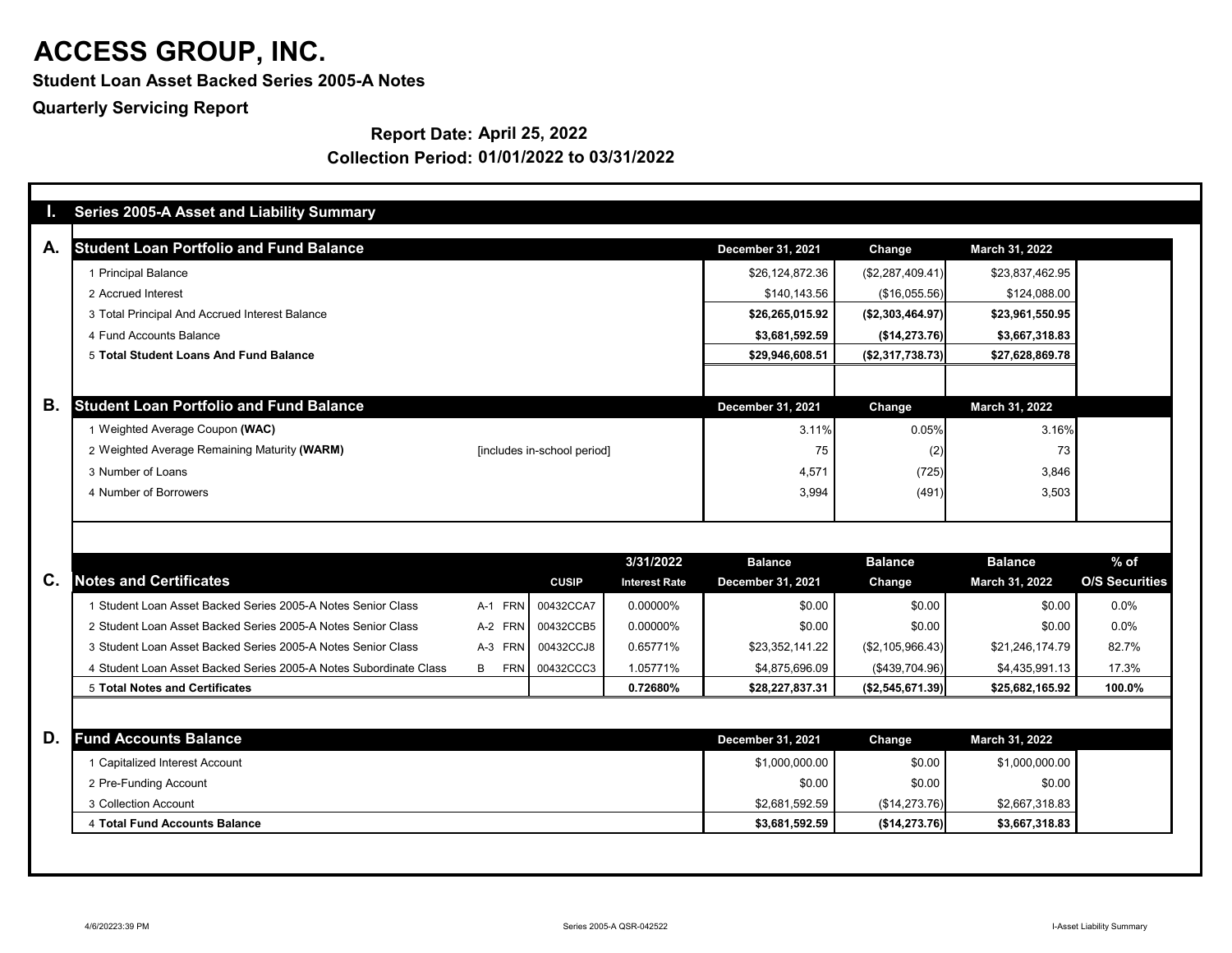**Student Loan Asset Backed Series 2005-A Notes**

**Quarterly Servicing Report**

### **Report Date: April 25, 2022**

|                | <b>Series 2005-A Asset and Liability Summary</b>                  |            |                             |                                   |                                            |                                 |                                  |                                 |
|----------------|-------------------------------------------------------------------|------------|-----------------------------|-----------------------------------|--------------------------------------------|---------------------------------|----------------------------------|---------------------------------|
| А.             | <b>Student Loan Portfolio and Fund Balance</b>                    |            |                             |                                   | <b>December 31, 2021</b>                   | <b>Change</b>                   | March 31, 2022                   |                                 |
|                | 1 Principal Balance                                               |            |                             |                                   | \$26,124,872.36                            | (\$2,287,409.41)                | \$23,837,462.95                  |                                 |
|                | 2 Accrued Interest                                                |            |                             |                                   | \$140,143.56                               | (\$16,055.56)                   | \$124,088.00                     |                                 |
|                | 3 Total Principal And Accrued Interest Balance                    |            |                             |                                   | \$26,265,015.92                            | ( \$2,303,464.97)               | \$23,961,550.95                  |                                 |
|                | 4 Fund Accounts Balance                                           |            |                             |                                   | \$3,681,592.59                             | (\$14,273.76)                   | \$3,667,318.83                   |                                 |
|                | 5 Total Student Loans And Fund Balance                            |            |                             |                                   | \$29,946,608.51                            | (\$2,317,738.73)                | \$27,628,869.78                  |                                 |
|                |                                                                   |            |                             |                                   |                                            |                                 |                                  |                                 |
| В.             | <b>Student Loan Portfolio and Fund Balance</b>                    |            |                             |                                   | <b>December 31, 2021</b>                   | <b>Change</b>                   | <b>March 31, 2022</b>            |                                 |
|                | 1 Weighted Average Coupon (WAC)                                   |            |                             |                                   | 3.11%                                      | 0.05%                           | 3.16%                            |                                 |
|                | 2 Weighted Average Remaining Maturity (WARM)                      |            | [includes in-school period] |                                   | 75                                         | (2)                             | 73                               |                                 |
|                | 3 Number of Loans                                                 |            |                             |                                   | 4,571                                      | (725)                           | 3,846                            |                                 |
|                | 4 Number of Borrowers                                             |            |                             |                                   | 3,994                                      | (491)                           | 3,503                            |                                 |
| $\mathbf{C}$ . | <b>Notes and Certificates</b>                                     |            | <b>CUSIP</b>                | 3/31/2022<br><b>Interest Rate</b> | <b>Balance</b><br><b>December 31, 2021</b> | <b>Balance</b><br><b>Change</b> | <b>Balance</b><br>March 31, 2022 | $%$ of<br><b>O/S Securities</b> |
|                | 1 Student Loan Asset Backed Series 2005-A Notes Senior Class      | A-1 FRN    | 00432CCA7                   | 0.00000%                          | \$0.00                                     | \$0.00                          | \$0.00                           | 0.0%                            |
|                | 2 Student Loan Asset Backed Series 2005-A Notes Senior Class      | A-2 FRN    | 00432CCB5                   | 0.00000%                          | \$0.00                                     | \$0.00                          | \$0.00                           | 0.0%                            |
|                | 3 Student Loan Asset Backed Series 2005-A Notes Senior Class      |            | A-3 FRN 00432CCJ8           | 0.65771%                          | \$23,352,141.22                            | (\$2,105,966.43)                | \$21,246,174.79                  | 82.7%                           |
|                | 4 Student Loan Asset Backed Series 2005-A Notes Subordinate Class | FRN  <br>B | 00432CCC3                   | 1.05771%                          | \$4,875,696.09                             | (\$439,704.96)                  | \$4,435,991.13                   | 17.3%                           |
|                | <b>5 Total Notes and Certificates</b>                             |            |                             | 0.72680%                          | \$28,227,837.31                            | ( \$2,545,671.39)               | \$25,682,165.92                  | 100.0%                          |
|                |                                                                   |            |                             |                                   |                                            |                                 |                                  |                                 |
| D.             | <b>Fund Accounts Balance</b>                                      |            |                             |                                   | <b>December 31, 2021</b>                   | <b>Change</b>                   | March 31, 2022                   |                                 |
|                | 1 Capitalized Interest Account                                    |            |                             |                                   | \$1,000,000.00                             | \$0.00                          | \$1,000,000.00                   |                                 |
|                | 2 Pre-Funding Account                                             |            |                             |                                   | \$0.00                                     | \$0.00                          | \$0.00                           |                                 |
|                |                                                                   |            |                             |                                   |                                            |                                 |                                  |                                 |
|                | 3 Collection Account                                              |            |                             |                                   | \$2,681,592.59                             | (\$14,273.76)                   | \$2,667,318.83                   |                                 |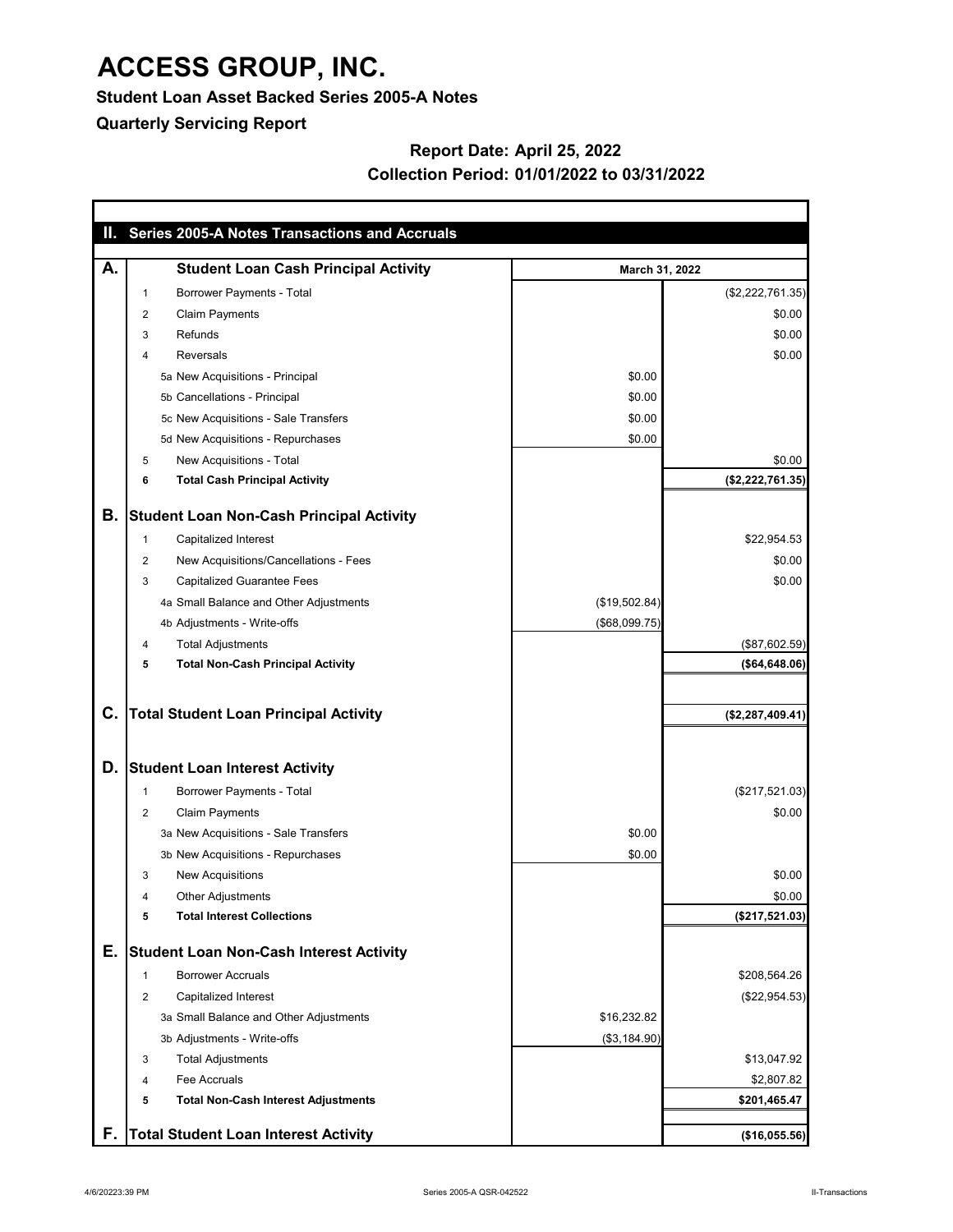**Student Loan Asset Backed Series 2005-A Notes**

**Quarterly Servicing Report**

### **Report Date: April 25, 2022 Collection Period: 01/01/2022 to 03/31/2022**

|             | II. Series 2005-A Notes Transactions and Accruals |                |                     |
|-------------|---------------------------------------------------|----------------|---------------------|
| А.          | <b>Student Loan Cash Principal Activity</b>       | March 31, 2022 |                     |
| $\mathbf 1$ | <b>Borrower Payments - Total</b>                  |                | (\$2,222,761.35)    |
|             | <b>Claim Payments</b><br>$\overline{c}$           |                | \$0.00              |
| 3           | Refunds                                           |                | \$0.00              |
| 4           | <b>Reversals</b>                                  |                | \$0.00              |
|             | 5a New Acquisitions - Principal                   | \$0.00         |                     |
|             | 5b Cancellations - Principal                      | \$0.00         |                     |
|             | 5c New Acquisitions - Sale Transfers              | \$0.00         |                     |
|             | 5d New Acquisitions - Repurchases                 | \$0.00         |                     |
| 5           | New Acquisitions - Total                          |                | \$0.00              |
| 6           | <b>Total Cash Principal Activity</b>              |                | (\$2,222,761.35)    |
| Β.          | <b>Student Loan Non-Cash Principal Activity</b>   |                |                     |
| 1           | <b>Capitalized Interest</b>                       |                | \$22,954.53         |
|             | New Acquisitions/Cancellations - Fees<br>2        |                | \$0.00              |
|             | <b>Capitalized Guarantee Fees</b><br>3            |                | \$0.00              |
|             | 4a Small Balance and Other Adjustments            | (\$19,502.84)  |                     |
|             | 4b Adjustments - Write-offs                       | (\$68,099.75)  |                     |
| 4           | <b>Total Adjustments</b>                          |                | (\$87,602.59)       |
| 5           | <b>Total Non-Cash Principal Activity</b>          |                | ( \$64, 648.06)     |
|             |                                                   |                |                     |
| C.          | <b>Total Student Loan Principal Activity</b>      |                | $(*2, 287, 409.41)$ |
|             |                                                   |                |                     |
| D.          | <b>Student Loan Interest Activity</b>             |                |                     |
| -1          | <b>Borrower Payments - Total</b>                  |                | (\$217,521.03)      |
|             | <b>Claim Payments</b><br>$\overline{2}$           |                | \$0.00              |
|             | 3a New Acquisitions - Sale Transfers              | \$0.00         |                     |
|             | 3b New Acquisitions - Repurchases                 | \$0.00         |                     |
| 3           | <b>New Acquisitions</b>                           |                | \$0.00              |
| 4           | <b>Other Adjustments</b>                          |                | \$0.00              |
|             | <b>Total Interest Collections</b><br>5            |                | (\$217,521.03)      |
| Е.          | <b>Student Loan Non-Cash Interest Activity</b>    |                |                     |
| -1          | <b>Borrower Accruals</b>                          |                | \$208,564.26        |
|             | Capitalized Interest<br>$\overline{2}$            |                | (\$22,954.53)       |
|             | 3a Small Balance and Other Adjustments            | \$16,232.82    |                     |
|             | 3b Adjustments - Write-offs                       | (\$3,184.90)   |                     |
| 3           | <b>Total Adjustments</b>                          |                | \$13,047.92         |
| 4           | Fee Accruals                                      |                | \$2,807.82          |
|             | <b>Total Non-Cash Interest Adjustments</b><br>5   |                | \$201,465.47        |
| F           | <b>Total Student Loan Interest Activity</b>       |                | (\$16,055.56)       |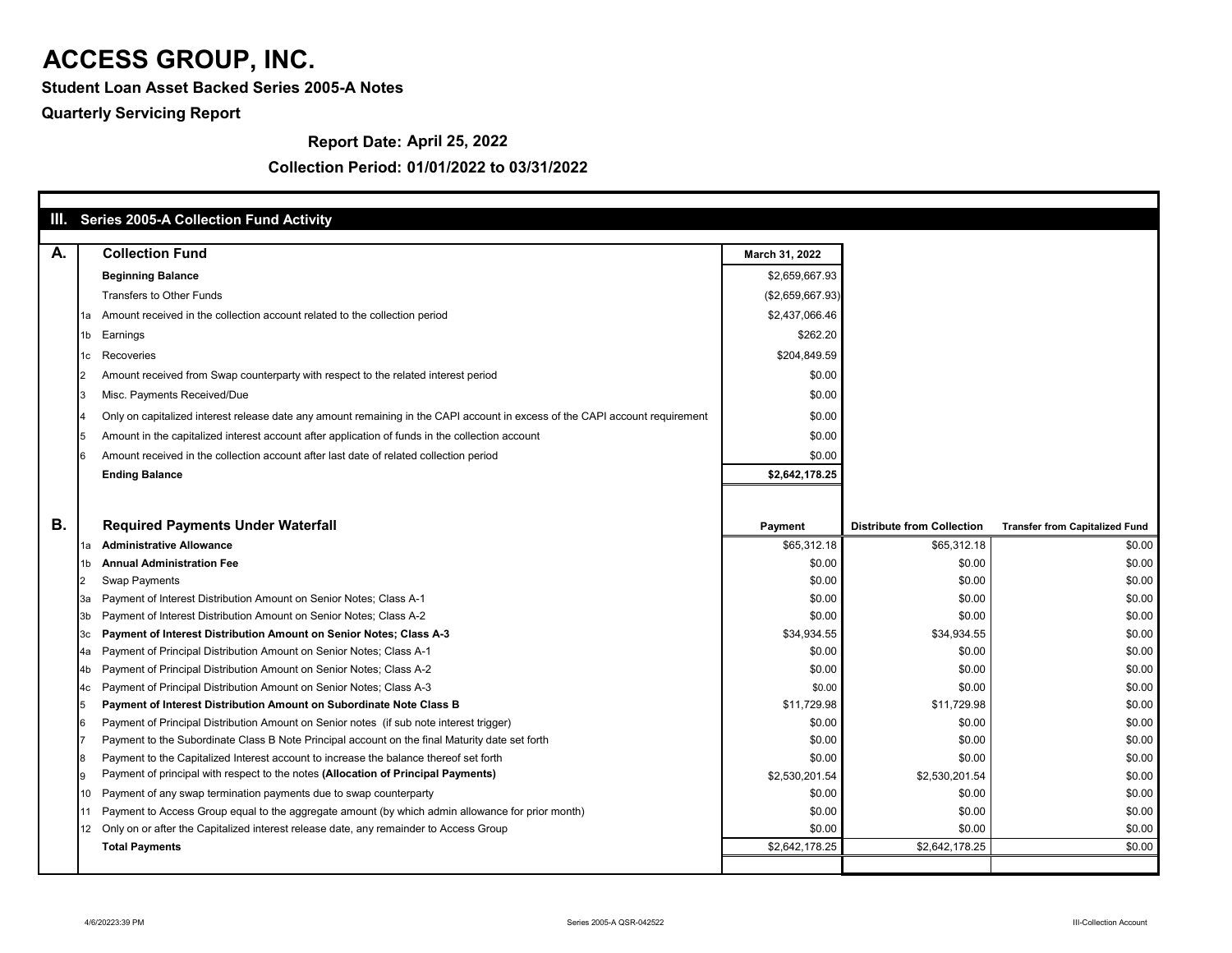**Student Loan Asset Backed Series 2005-A Notes**

### **Quarterly Servicing Report**

### **Report Date: April 25, 2022**

|           |      | III. Series 2005-A Collection Fund Activity                                                                                                                    |                       |                                   |                                       |
|-----------|------|----------------------------------------------------------------------------------------------------------------------------------------------------------------|-----------------------|-----------------------------------|---------------------------------------|
|           |      |                                                                                                                                                                |                       |                                   |                                       |
| А.        |      | <b>Collection Fund</b>                                                                                                                                         | March 31, 2022        |                                   |                                       |
|           |      | <b>Beginning Balance</b>                                                                                                                                       | \$2,659,667.93        |                                   |                                       |
|           |      | <b>Transfers to Other Funds</b>                                                                                                                                | (\$2,659,667.93)      |                                   |                                       |
|           | 1a   | Amount received in the collection account related to the collection period                                                                                     | \$2,437,066.46        |                                   |                                       |
|           | 1b l | Earnings                                                                                                                                                       | \$262.20              |                                   |                                       |
|           |      | Recoveries                                                                                                                                                     | \$204,849.59          |                                   |                                       |
|           |      | Amount received from Swap counterparty with respect to the related interest period                                                                             | \$0.00                |                                   |                                       |
|           |      | Misc. Payments Received/Due                                                                                                                                    | \$0.00                |                                   |                                       |
|           |      | Only on capitalized interest release date any amount remaining in the CAPI account in excess of the CAPI account requirement                                   | \$0.00                |                                   |                                       |
|           |      | Amount in the capitalized interest account after application of funds in the collection account                                                                | \$0.00                |                                   |                                       |
|           |      | Amount received in the collection account after last date of related collection period                                                                         | \$0.00                |                                   |                                       |
|           |      | <b>Ending Balance</b>                                                                                                                                          | \$2,642,178.25        |                                   |                                       |
|           |      |                                                                                                                                                                |                       |                                   |                                       |
|           |      |                                                                                                                                                                |                       |                                   |                                       |
| <b>B.</b> |      | <b>Required Payments Under Waterfall</b>                                                                                                                       | <b>Payment</b>        | <b>Distribute from Collection</b> | <b>Transfer from Capitalized Fund</b> |
|           |      | <b>Administrative Allowance</b>                                                                                                                                | \$65,312.18           | \$65,312.18                       | \$0.00                                |
|           |      | <b>Annual Administration Fee</b>                                                                                                                               | \$0.00                | \$0.00                            | \$0.00                                |
|           |      | <b>Swap Payments</b>                                                                                                                                           | \$0.00                | \$0.00                            | \$0.00                                |
|           | За   | Payment of Interest Distribution Amount on Senior Notes; Class A-1                                                                                             | \$0.00                | \$0.00                            | \$0.00                                |
|           |      | Payment of Interest Distribution Amount on Senior Notes; Class A-2                                                                                             | \$0.00                | \$0.00                            | \$0.00                                |
|           | [3c  | Payment of Interest Distribution Amount on Senior Notes; Class A-3                                                                                             | \$34,934.55           | \$34,934.55                       | \$0.00                                |
|           | l4a  | Payment of Principal Distribution Amount on Senior Notes; Class A-1                                                                                            | \$0.00                | \$0.00                            | \$0.00                                |
|           | 4b.  | Payment of Principal Distribution Amount on Senior Notes; Class A-2                                                                                            | \$0.00                | \$0.00                            | \$0.00                                |
|           |      | Payment of Principal Distribution Amount on Senior Notes; Class A-3                                                                                            | \$0.00                | \$0.00                            | \$0.00                                |
|           |      | Payment of Interest Distribution Amount on Subordinate Note Class B<br>Payment of Principal Distribution Amount on Senior notes (if sub note interest trigger) | \$11,729.98<br>\$0.00 | \$11,729.98<br>\$0.00             | \$0.00<br>\$0.00                      |
|           |      | Payment to the Subordinate Class B Note Principal account on the final Maturity date set forth                                                                 | \$0.00                | \$0.00                            | \$0.00                                |
|           |      | Payment to the Capitalized Interest account to increase the balance thereof set forth                                                                          | \$0.00                | \$0.00                            | \$0.00                                |
|           |      | Payment of principal with respect to the notes (Allocation of Principal Payments)                                                                              | \$2,530,201.54        | \$2,530,201.54                    | \$0.00                                |
|           |      | Payment of any swap termination payments due to swap counterparty                                                                                              | \$0.00                | \$0.00                            | \$0.00                                |
|           |      | Payment to Access Group equal to the aggregate amount (by which admin allowance for prior month)                                                               | \$0.00                | \$0.00                            | \$0.00                                |
|           |      | Only on or after the Capitalized interest release date, any remainder to Access Group                                                                          | \$0.00                | \$0.00                            | \$0.00                                |
|           |      | <b>Total Payments</b>                                                                                                                                          | \$2,642,178.25        | \$2,642,178.25                    | \$0.00                                |
|           |      |                                                                                                                                                                |                       |                                   |                                       |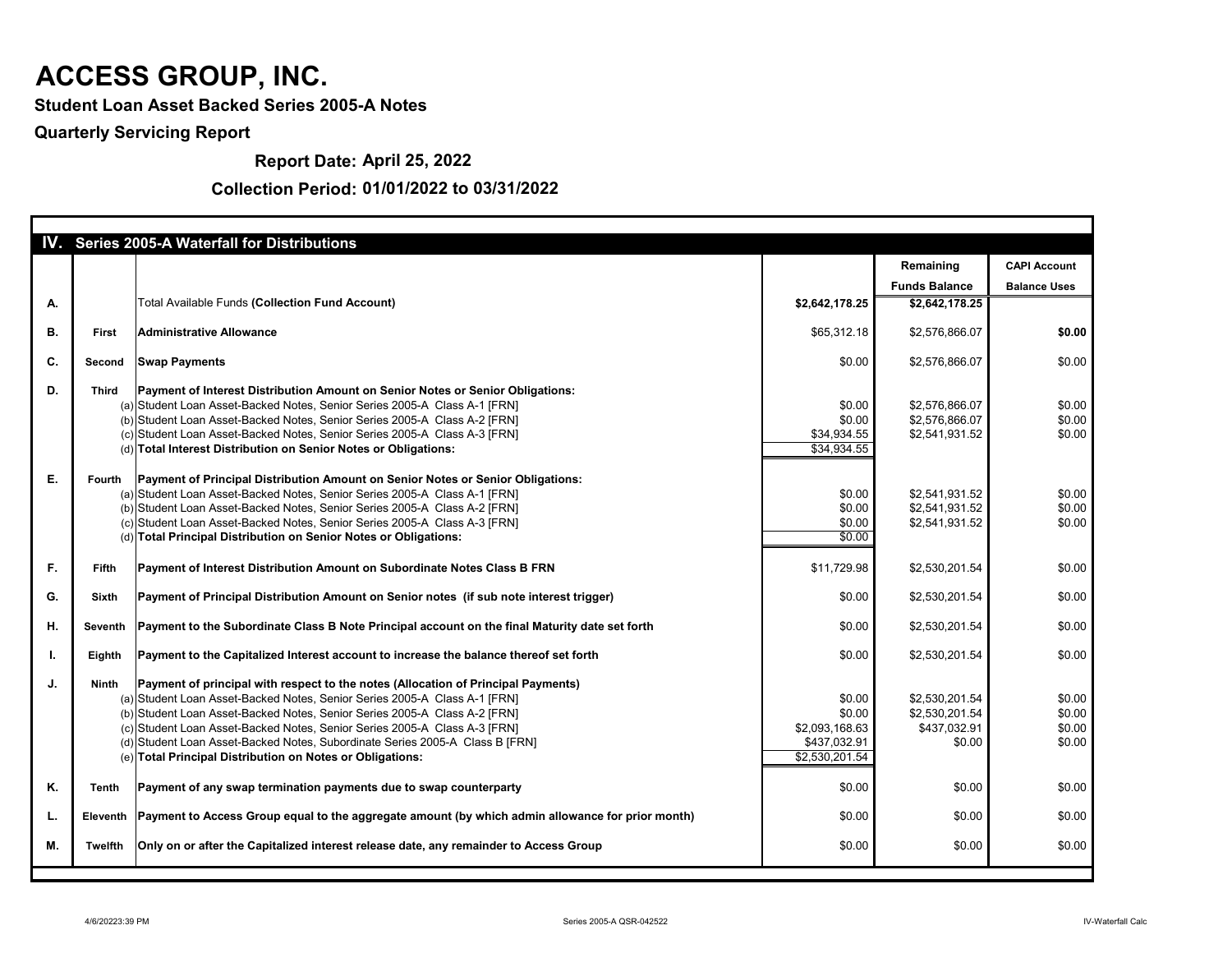**Student Loan Asset Backed Series 2005-A Notes**

### **Quarterly Servicing Report**

**Report Date: April 25, 2022**

|    |              | <b>IV.</b> Series 2005-A Waterfall for Distributions                                                      |                |                      |                     |
|----|--------------|-----------------------------------------------------------------------------------------------------------|----------------|----------------------|---------------------|
|    |              |                                                                                                           |                | Remaining            | <b>CAPI Account</b> |
|    |              |                                                                                                           |                | <b>Funds Balance</b> | <b>Balance Uses</b> |
| А. |              | <b>Total Available Funds (Collection Fund Account)</b>                                                    | \$2,642,178.25 | \$2,642,178.25       |                     |
|    |              |                                                                                                           |                |                      |                     |
| В. | <b>First</b> | Administrative Allowance                                                                                  | \$65,312.18    | \$2,576,866.07       | \$0.00              |
|    |              |                                                                                                           |                |                      |                     |
| C. | Second       | <b>Swap Payments</b>                                                                                      | \$0.00         | \$2,576,866.07       | \$0.00              |
| D. | <b>Third</b> | <b>Payment of Interest Distribution Amount on Senior Notes or Senior Obligations:</b>                     |                |                      |                     |
|    |              | (a) Student Loan Asset-Backed Notes, Senior Series 2005-A Class A-1 [FRN]                                 | \$0.00         | \$2,576,866.07       | \$0.00              |
|    |              | (b) Student Loan Asset-Backed Notes, Senior Series 2005-A Class A-2 [FRN]                                 | \$0.00         | \$2,576,866.07       | \$0.00              |
|    |              | (c) Student Loan Asset-Backed Notes, Senior Series 2005-A Class A-3 [FRN]                                 | \$34,934.55    | \$2,541,931.52       | \$0.00              |
|    |              | (d) Total Interest Distribution on Senior Notes or Obligations:                                           | \$34,934.55    |                      |                     |
|    |              |                                                                                                           |                |                      |                     |
| Ε. | Fourth       | Payment of Principal Distribution Amount on Senior Notes or Senior Obligations:                           |                |                      |                     |
|    |              | (a) Student Loan Asset-Backed Notes, Senior Series 2005-A Class A-1 [FRN]                                 | \$0.00         | \$2,541,931.52       | \$0.00              |
|    |              | (b) Student Loan Asset-Backed Notes, Senior Series 2005-A Class A-2 [FRN]                                 | \$0.00         | \$2,541,931.52       | \$0.00              |
|    |              | (c) Student Loan Asset-Backed Notes, Senior Series 2005-A Class A-3 [FRN]                                 | \$0.00         | \$2,541,931.52       | \$0.00              |
|    |              | (d) Total Principal Distribution on Senior Notes or Obligations:                                          | \$0.00         |                      |                     |
|    |              |                                                                                                           |                |                      |                     |
| F. | <b>Fifth</b> | Payment of Interest Distribution Amount on Subordinate Notes Class B FRN                                  | \$11,729.98    | \$2,530,201.54       | \$0.00              |
| G. | <b>Sixth</b> | Payment of Principal Distribution Amount on Senior notes (if sub note interest trigger)                   | \$0.00         | \$2,530,201.54       | \$0.00              |
|    |              |                                                                                                           |                |                      |                     |
| Η. |              | Seventh   Payment to the Subordinate Class B Note Principal account on the final Maturity date set forth  | \$0.00         | \$2,530,201.54       | \$0.00              |
|    |              |                                                                                                           |                |                      |                     |
| L. | Eighth       | Payment to the Capitalized Interest account to increase the balance thereof set forth                     | \$0.00         | \$2,530,201.54       | \$0.00              |
| J. | <b>Ninth</b> | Payment of principal with respect to the notes (Allocation of Principal Payments)                         |                |                      |                     |
|    |              | (a) Student Loan Asset-Backed Notes, Senior Series 2005-A Class A-1 [FRN]                                 | \$0.00         | \$2,530,201.54       | \$0.00              |
|    |              | (b) Student Loan Asset-Backed Notes, Senior Series 2005-A Class A-2 [FRN]                                 | \$0.00         | \$2,530,201.54       | \$0.00              |
|    |              | (c) Student Loan Asset-Backed Notes, Senior Series 2005-A Class A-3 [FRN]                                 | \$2,093,168.63 | \$437,032.91         | \$0.00              |
|    |              | (d) Student Loan Asset-Backed Notes, Subordinate Series 2005-A Class B [FRN]                              | \$437,032.91   | \$0.00               | \$0.00              |
|    |              | (e) Total Principal Distribution on Notes or Obligations:                                                 | \$2,530,201.54 |                      |                     |
|    |              |                                                                                                           |                |                      |                     |
| Κ. | Tenth        | Payment of any swap termination payments due to swap counterparty                                         | \$0.00         | \$0.00               | \$0.00              |
|    |              |                                                                                                           |                |                      |                     |
| L. |              | Eleventh Payment to Access Group equal to the aggregate amount (by which admin allowance for prior month) | \$0.00         | \$0.00               | \$0.00              |
| Μ. | Twelfth      | Only on or after the Capitalized interest release date, any remainder to Access Group                     | \$0.00         | \$0.00               | \$0.00              |
|    |              |                                                                                                           |                |                      |                     |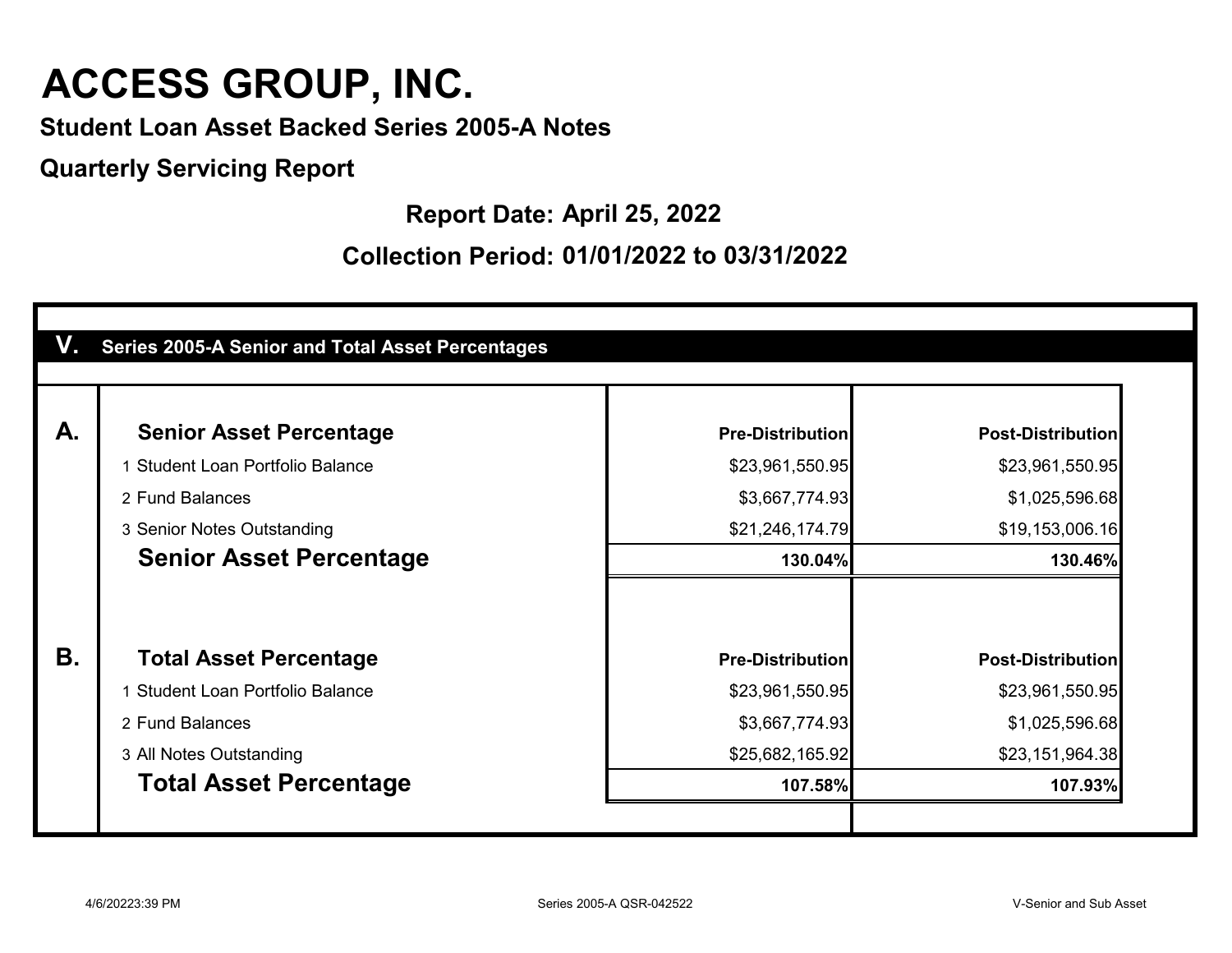**Student Loan Asset Backed Series 2005-A Notes**

**Quarterly Servicing Report**

**Report Date: April 25, 2022**

| А.              | <b>Senior Asset Percentage</b>        | <b>Pre-Distribution</b> | <b>Post-Distribution</b> |
|-----------------|---------------------------------------|-------------------------|--------------------------|
|                 | <b>Student Loan Portfolio Balance</b> | \$23,961,550.95         | \$23,961,550.95          |
| 2 Fund Balances |                                       | \$3,667,774.93          | \$1,025,596.68           |
|                 | 3 Senior Notes Outstanding            | \$21,246,174.79         | \$19,153,006.16          |
|                 | <b>Senior Asset Percentage</b>        | 130.04%                 | 130.46%                  |
|                 |                                       |                         |                          |
| В.              | <b>Total Asset Percentage</b>         | <b>Pre-Distribution</b> | <b>Post-Distribution</b> |
|                 | <b>Student Loan Portfolio Balance</b> | \$23,961,550.95         | \$23,961,550.95          |
| 2 Fund Balances |                                       | \$3,667,774.93          | \$1,025,596.68           |
|                 | 3 All Notes Outstanding               | \$25,682,165.92         | \$23,151,964.38          |
|                 | <b>Total Asset Percentage</b>         | 107.58%                 | 107.93%                  |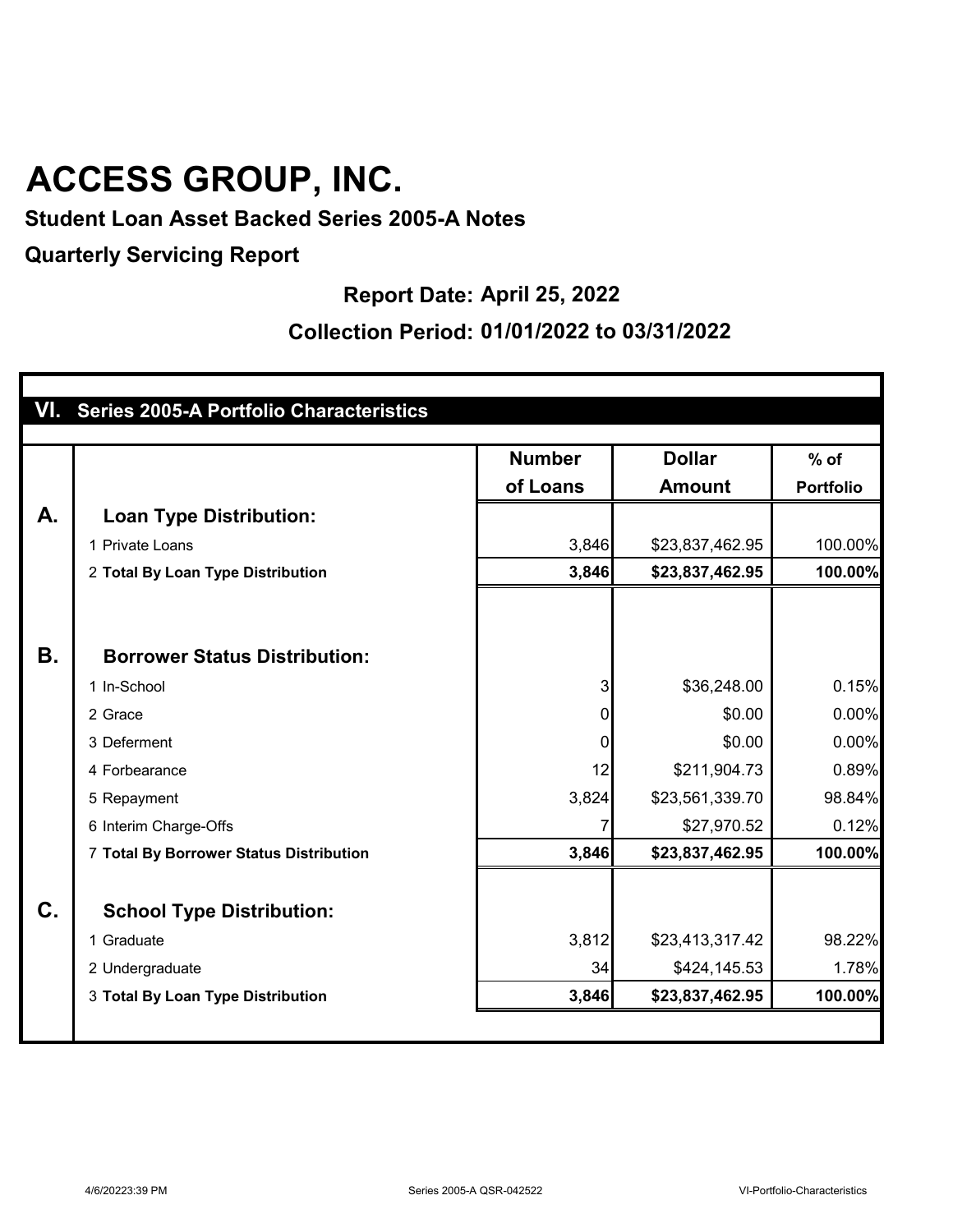### **Student Loan Asset Backed Series 2005-A Notes**

**Quarterly Servicing Report**

### **Report Date: April 25, 2022**

#### **Collection Period: 01/01/2022 to 03/31/2022**

|           | VI. Series 2005-A Portfolio Characteristics |                           |                                |                            |
|-----------|---------------------------------------------|---------------------------|--------------------------------|----------------------------|
|           |                                             | <b>Number</b><br>of Loans | <b>Dollar</b><br><b>Amount</b> | $%$ of<br><b>Portfolio</b> |
| A.        | <b>Loan Type Distribution:</b>              |                           |                                |                            |
|           | 1 Private Loans                             | 3,846                     | \$23,837,462.95                | 100.00%                    |
|           | 2 Total By Loan Type Distribution           | 3,846                     | \$23,837,462.95                | 100.00%                    |
|           |                                             |                           |                                |                            |
| <b>B.</b> | <b>Borrower Status Distribution:</b>        |                           |                                |                            |
|           | 1 In-School                                 | 3                         | \$36,248.00                    | 0.15%                      |
|           | 2 Grace                                     | 0                         | \$0.00                         | 0.00%                      |
|           | 3 Deferment                                 | 0                         | \$0.00                         | 0.00%                      |
|           | 4 Forbearance                               | 12                        | \$211,904.73                   | 0.89%                      |
|           | 5 Repayment                                 | 3,824                     | \$23,561,339.70                | 98.84%                     |
|           | 6 Interim Charge-Offs                       |                           | \$27,970.52                    | 0.12%                      |
|           | 7 Total By Borrower Status Distribution     | 3,846                     | \$23,837,462.95                | 100.00%                    |
| $C_{1}$   | <b>School Type Distribution:</b>            |                           |                                |                            |
|           | 1 Graduate                                  | 3,812                     | \$23,413,317.42                | 98.22%                     |
|           | 2 Undergraduate                             | 34                        | \$424,145.53                   | 1.78%                      |
|           | 3 Total By Loan Type Distribution           | 3,846                     | \$23,837,462.95                | 100.00%                    |
|           |                                             |                           |                                |                            |

1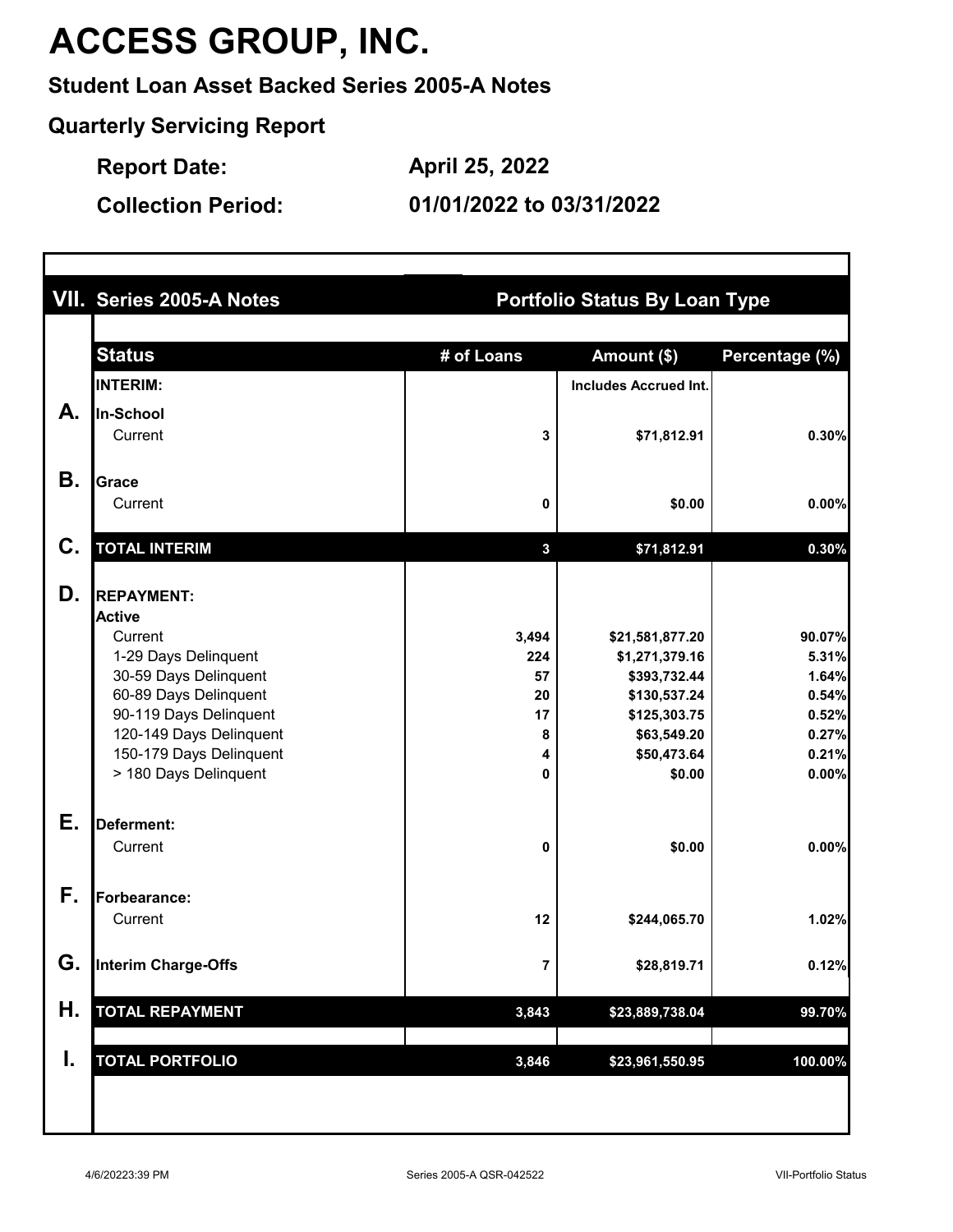### **Student Loan Asset Backed Series 2005-A Notes**

**Quarterly Servicing Report**

**Report Date: April 25, 2022**

**Collection Period:**

**01/01/2022 to 03/31/2022**

|    | VII. Series 2005-A Notes        | <b>Portfolio Status By Loan Type</b> |                                   |                 |  |
|----|---------------------------------|--------------------------------------|-----------------------------------|-----------------|--|
|    | <b>Status</b>                   | # of Loans                           | Amount (\$)                       | Percentage (%)  |  |
|    | <b>INTERIM:</b>                 |                                      | <b>Includes Accrued Int.</b>      |                 |  |
| А. | In-School                       |                                      |                                   |                 |  |
|    | Current                         | 3                                    | \$71,812.91                       | 0.30%           |  |
|    |                                 |                                      |                                   |                 |  |
| В. | <b>Grace</b>                    |                                      |                                   |                 |  |
|    | Current                         | 0                                    | \$0.00                            | 0.00%           |  |
| C. | <b>TOTAL INTERIM</b>            | $\mathbf{3}$                         | \$71,812.91                       | 0.30%           |  |
|    |                                 |                                      |                                   |                 |  |
| D. | <b>REPAYMENT:</b>               |                                      |                                   |                 |  |
|    | <b>Active</b>                   |                                      |                                   |                 |  |
|    | Current<br>1-29 Days Delinquent | 3,494<br>224                         | \$21,581,877.20<br>\$1,271,379.16 | 90.07%<br>5.31% |  |
|    | 30-59 Days Delinquent           | 57                                   | \$393,732.44                      | 1.64%           |  |
|    | 60-89 Days Delinquent           | 20                                   | \$130,537.24                      | 0.54%           |  |
|    | 90-119 Days Delinquent          | 17                                   | \$125,303.75                      | 0.52%           |  |
|    | 120-149 Days Delinquent         | 8                                    | \$63,549.20                       | 0.27%           |  |
|    | 150-179 Days Delinquent         | 4                                    | \$50,473.64                       | 0.21%           |  |
|    | > 180 Days Delinquent           | 0                                    | \$0.00                            | 0.00%           |  |
| Е. | Deferment:                      |                                      |                                   |                 |  |
|    | Current                         | 0                                    | \$0.00                            | 0.00%           |  |
|    |                                 |                                      |                                   |                 |  |
| F. | Forbearance:                    |                                      |                                   |                 |  |
|    | Current                         | 12                                   | \$244,065.70                      | 1.02%           |  |
| G. | <b>Interim Charge-Offs</b>      | $\overline{\mathbf{7}}$              | \$28,819.71                       | 0.12%           |  |
| Η. | <b>TOTAL REPAYMENT</b>          | 3,843                                | \$23,889,738.04                   | 99.70%          |  |
|    |                                 |                                      |                                   |                 |  |
| I. | <b>TOTAL PORTFOLIO</b>          | 3,846                                | \$23,961,550.95                   | 100.00%         |  |
|    |                                 |                                      |                                   |                 |  |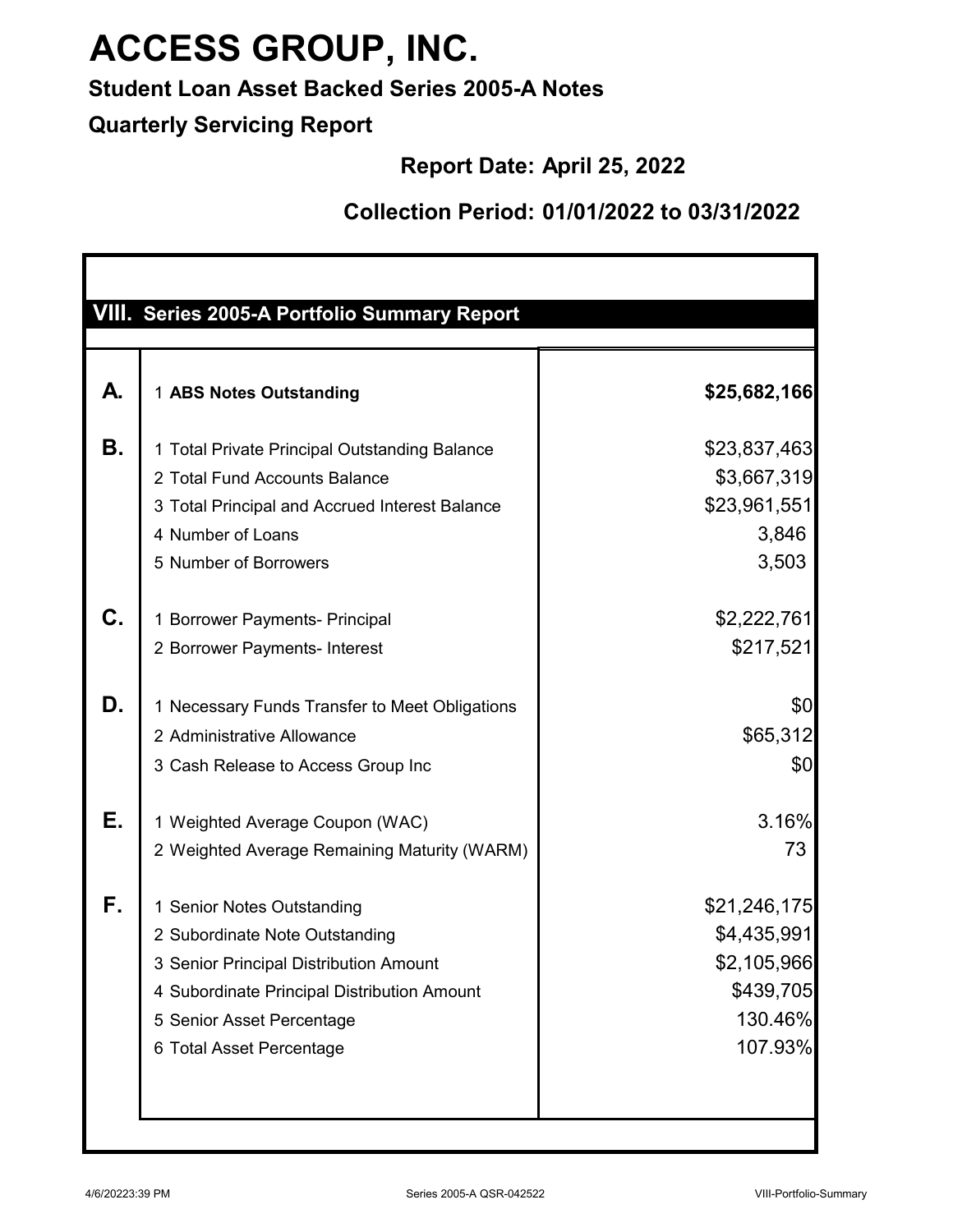**Student Loan Asset Backed Series 2005-A Notes**

**Quarterly Servicing Report**

**Report Date: April 25, 2022**

|    | VIII. Series 2005-A Portfolio Summary Report                                                                                                                                                                   |                                                                               |
|----|----------------------------------------------------------------------------------------------------------------------------------------------------------------------------------------------------------------|-------------------------------------------------------------------------------|
| А. | 1 ABS Notes Outstanding                                                                                                                                                                                        | \$25,682,166                                                                  |
| Β. | 1 Total Private Principal Outstanding Balance<br>2 Total Fund Accounts Balance<br>3 Total Principal and Accrued Interest Balance<br>4 Number of Loans<br>5 Number of Borrowers                                 | \$23,837,463<br>\$3,667,319<br>\$23,961,551<br>3,846<br>3,503                 |
| C. | 1 Borrower Payments- Principal<br>2 Borrower Payments- Interest                                                                                                                                                | \$2,222,761<br>\$217,521                                                      |
| D. | 1 Necessary Funds Transfer to Meet Obligations<br>2 Administrative Allowance<br>3 Cash Release to Access Group Inc                                                                                             | \$0<br>\$65,312<br>\$0                                                        |
| Е. | 1 Weighted Average Coupon (WAC)<br>2 Weighted Average Remaining Maturity (WARM)                                                                                                                                | 3.16%<br>73                                                                   |
| F. | 1 Senior Notes Outstanding<br>2 Subordinate Note Outstanding<br>3 Senior Principal Distribution Amount<br>4 Subordinate Principal Distribution Amount<br>5 Senior Asset Percentage<br>6 Total Asset Percentage | \$21,246,175<br>\$4,435,991<br>\$2,105,966<br>\$439,705<br>130.46%<br>107.93% |